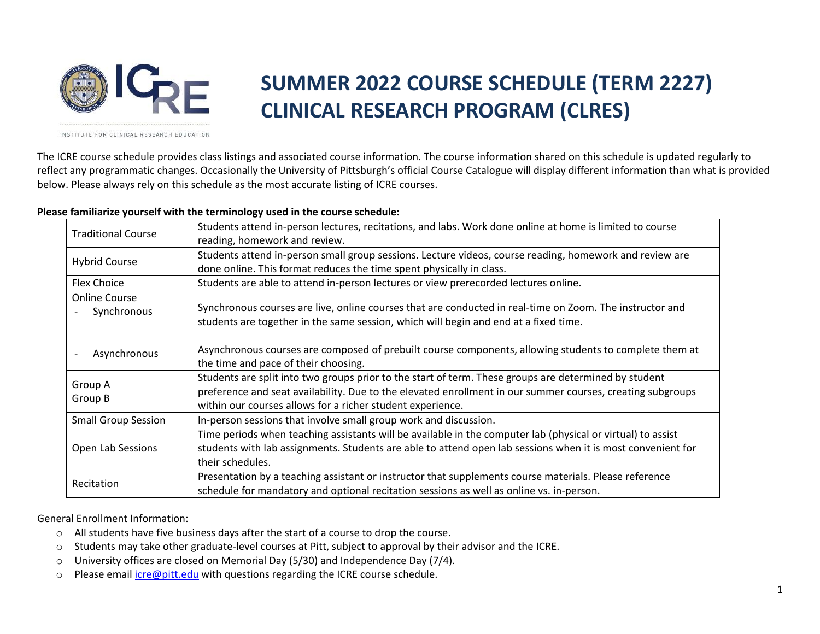

## **SUMMER 2022 COURSE SCHEDULE (TERM 2227) CLINICAL RESEARCH PROGRAM (CLRES)**

INSTITUTE FOR CLINICAL RESEARCH EDUCATION

The ICRE course schedule provides class listings and associated course information. The course information shared on this schedule is updated regularly to reflect any programmatic changes. Occasionally the University of Pittsburgh's official Course Catalogue will display different information than what is provided below. Please always rely on this schedule as the most accurate listing of ICRE courses.

## **Please familiarize yourself with the terminology used in the course schedule:**

| <b>Traditional Course</b>                | Students attend in-person lectures, recitations, and labs. Work done online at home is limited to course                                                                                                                                                                          |
|------------------------------------------|-----------------------------------------------------------------------------------------------------------------------------------------------------------------------------------------------------------------------------------------------------------------------------------|
|                                          | reading, homework and review.                                                                                                                                                                                                                                                     |
|                                          | Students attend in-person small group sessions. Lecture videos, course reading, homework and review are                                                                                                                                                                           |
| <b>Hybrid Course</b>                     | done online. This format reduces the time spent physically in class.                                                                                                                                                                                                              |
| Flex Choice                              | Students are able to attend in-person lectures or view prerecorded lectures online.                                                                                                                                                                                               |
| <b>Online Course</b><br>Synchronous      | Synchronous courses are live, online courses that are conducted in real-time on Zoom. The instructor and<br>students are together in the same session, which will begin and end at a fixed time.                                                                                  |
| Asynchronous<br>$\overline{\phantom{a}}$ | Asynchronous courses are composed of prebuilt course components, allowing students to complete them at<br>the time and pace of their choosing.                                                                                                                                    |
| Group A<br>Group B                       | Students are split into two groups prior to the start of term. These groups are determined by student<br>preference and seat availability. Due to the elevated enrollment in our summer courses, creating subgroups<br>within our courses allows for a richer student experience. |
| <b>Small Group Session</b>               | In-person sessions that involve small group work and discussion.                                                                                                                                                                                                                  |
| Open Lab Sessions                        | Time periods when teaching assistants will be available in the computer lab (physical or virtual) to assist<br>students with lab assignments. Students are able to attend open lab sessions when it is most convenient for<br>their schedules.                                    |
| Recitation                               | Presentation by a teaching assistant or instructor that supplements course materials. Please reference<br>schedule for mandatory and optional recitation sessions as well as online vs. in-person.                                                                                |

General Enrollment Information:

- o All students have five business days after the start of a course to drop the course.
- o Students may take other graduate-level courses at Pitt, subject to approval by their advisor and the ICRE.
- $\circ$  University offices are closed on Memorial Day (5/30) and Independence Day (7/4).
- o Please email [icre@pitt.edu](mailto:icre@pitt.edu) with questions regarding the ICRE course schedule.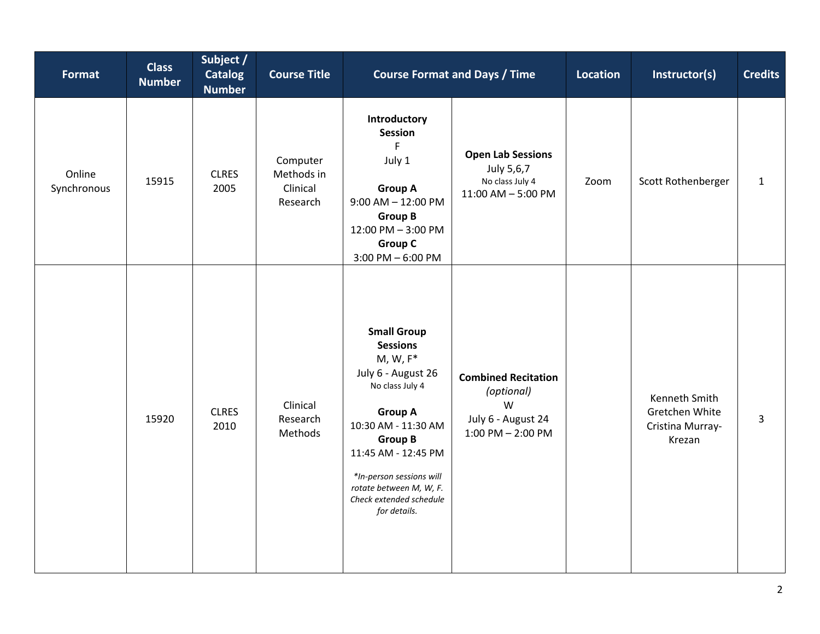| Format                | <b>Class</b><br><b>Number</b> | Subject /<br><b>Catalog</b><br><b>Number</b> | <b>Course Title</b>                            |                                                                                                                                                                                                                                                                                   | <b>Course Format and Days / Time</b>                                                         | Location | Instructor(s)                                                 | <b>Credits</b> |
|-----------------------|-------------------------------|----------------------------------------------|------------------------------------------------|-----------------------------------------------------------------------------------------------------------------------------------------------------------------------------------------------------------------------------------------------------------------------------------|----------------------------------------------------------------------------------------------|----------|---------------------------------------------------------------|----------------|
| Online<br>Synchronous | 15915                         | <b>CLRES</b><br>2005                         | Computer<br>Methods in<br>Clinical<br>Research | Introductory<br><b>Session</b><br>F<br>July 1<br><b>Group A</b><br>$9:00$ AM $- 12:00$ PM<br><b>Group B</b><br>12:00 PM - 3:00 PM<br><b>Group C</b><br>$3:00$ PM $-6:00$ PM                                                                                                       | <b>Open Lab Sessions</b><br>July 5,6,7<br>No class July 4<br>$11:00$ AM $-5:00$ PM           | Zoom     | Scott Rothenberger                                            | $\mathbf{1}$   |
|                       | 15920                         | <b>CLRES</b><br>2010                         | Clinical<br>Research<br>Methods                | <b>Small Group</b><br><b>Sessions</b><br>$M, W, F^*$<br>July 6 - August 26<br>No class July 4<br><b>Group A</b><br>10:30 AM - 11:30 AM<br><b>Group B</b><br>11:45 AM - 12:45 PM<br>*In-person sessions will<br>rotate between M, W, F.<br>Check extended schedule<br>for details. | <b>Combined Recitation</b><br>(optional)<br>W<br>July 6 - August 24<br>$1:00$ PM $- 2:00$ PM |          | Kenneth Smith<br>Gretchen White<br>Cristina Murray-<br>Krezan | $\overline{3}$ |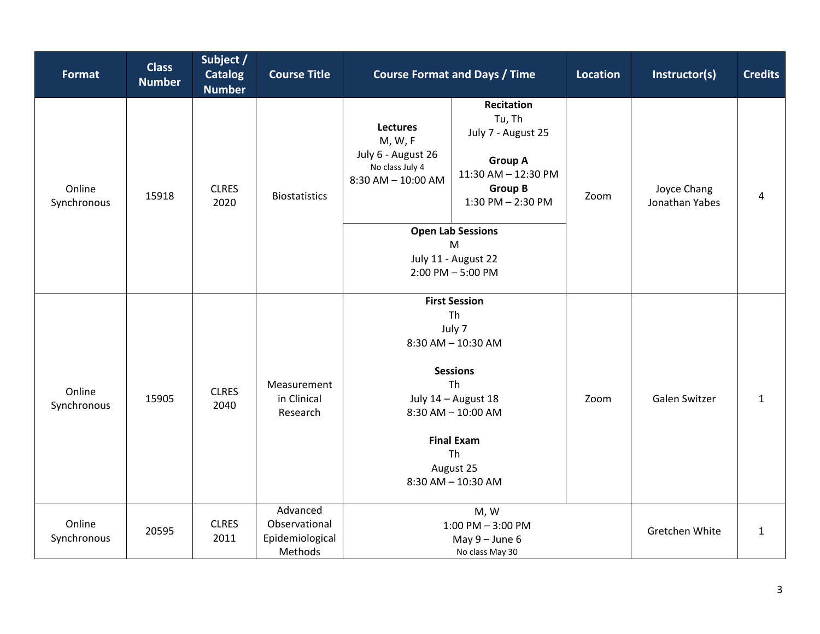| <b>Format</b>         | <b>Class</b><br><b>Number</b> | Subject /<br><b>Catalog</b><br><b>Number</b> | <b>Course Title</b>                                     | <b>Course Format and Days / Time</b><br><b>Location</b>                                                                                                                                            |                                                                                                                                                                   |      | Instructor(s)                 | <b>Credits</b> |
|-----------------------|-------------------------------|----------------------------------------------|---------------------------------------------------------|----------------------------------------------------------------------------------------------------------------------------------------------------------------------------------------------------|-------------------------------------------------------------------------------------------------------------------------------------------------------------------|------|-------------------------------|----------------|
| Online<br>Synchronous | 15918                         | <b>CLRES</b><br>2020                         | <b>Biostatistics</b>                                    | <b>Lectures</b><br>M, W, F<br>July 6 - August 26<br>No class July 4<br>$8:30$ AM $- 10:00$ AM                                                                                                      | <b>Recitation</b><br>Tu, Th<br>July 7 - August 25<br><b>Group A</b><br>11:30 AM - 12:30 PM<br><b>Group B</b><br>$1:30$ PM $- 2:30$ PM<br><b>Open Lab Sessions</b> | Zoom | Joyce Chang<br>Jonathan Yabes | 4              |
|                       |                               |                                              |                                                         |                                                                                                                                                                                                    | M<br>July 11 - August 22<br>$2:00$ PM $-5:00$ PM                                                                                                                  |      |                               |                |
| Online<br>Synchronous | 15905                         | <b>CLRES</b><br>2040                         | Measurement<br>in Clinical<br>Research                  | <b>First Session</b><br>Th<br>July 7<br>8:30 AM - 10:30 AM<br><b>Sessions</b><br>Th<br>July 14 - August 18<br>$8:30$ AM $- 10:00$ AM<br><b>Final Exam</b><br>Th<br>August 25<br>8:30 AM - 10:30 AM |                                                                                                                                                                   | Zoom | Galen Switzer                 | $\mathbf{1}$   |
| Online<br>Synchronous | 20595                         | <b>CLRES</b><br>2011                         | Advanced<br>Observational<br>Epidemiological<br>Methods | M, W<br>$1:00$ PM $-3:00$ PM<br>May $9 -$ June 6<br>No class May 30                                                                                                                                |                                                                                                                                                                   |      | Gretchen White                | $\mathbf{1}$   |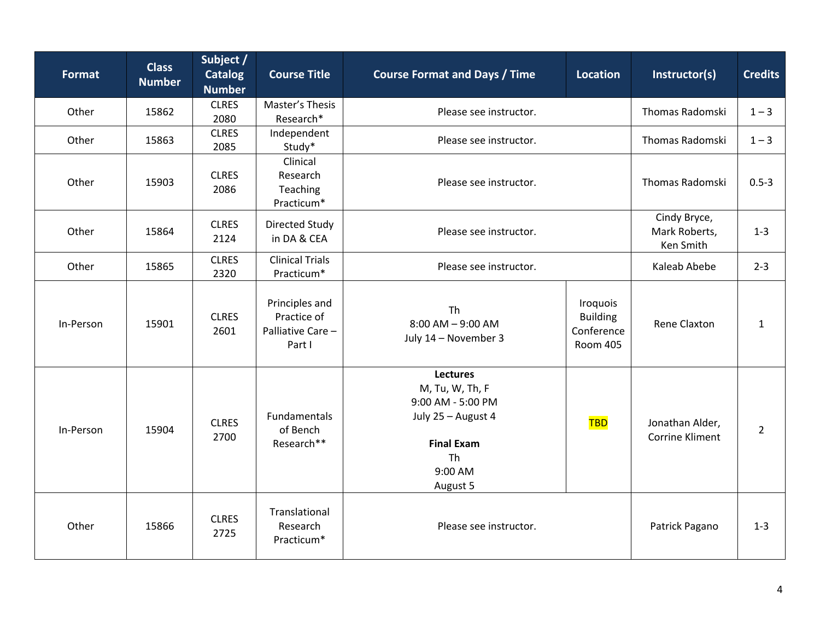| <b>Format</b> | <b>Class</b><br><b>Number</b> | Subject /<br><b>Catalog</b><br><b>Number</b> | <b>Course Title</b>                                         | <b>Course Format and Days / Time</b><br><b>Location</b>                                                                                |                                                              | Instructor(s)                             | <b>Credits</b> |
|---------------|-------------------------------|----------------------------------------------|-------------------------------------------------------------|----------------------------------------------------------------------------------------------------------------------------------------|--------------------------------------------------------------|-------------------------------------------|----------------|
| Other         | 15862                         | <b>CLRES</b><br>2080                         | Master's Thesis<br>Research*                                | Please see instructor.                                                                                                                 |                                                              | Thomas Radomski                           | $1 - 3$        |
| Other         | 15863                         | <b>CLRES</b><br>2085                         | Independent<br>Study*                                       | Please see instructor.                                                                                                                 | Thomas Radomski                                              | $1 - 3$                                   |                |
| Other         | 15903                         | <b>CLRES</b><br>2086                         | Clinical<br>Research<br>Teaching<br>Practicum*              | Please see instructor.                                                                                                                 | <b>Thomas Radomski</b>                                       | $0.5 - 3$                                 |                |
| Other         | 15864                         | <b>CLRES</b><br>2124                         | <b>Directed Study</b><br>in DA & CEA                        | Please see instructor.                                                                                                                 | Cindy Bryce,<br>Mark Roberts,<br>Ken Smith                   | $1 - 3$                                   |                |
| Other         | 15865                         | <b>CLRES</b><br>2320                         | <b>Clinical Trials</b><br>Practicum*                        | Please see instructor.                                                                                                                 | Kaleab Abebe                                                 | $2 - 3$                                   |                |
| In-Person     | 15901                         | <b>CLRES</b><br>2601                         | Principles and<br>Practice of<br>Palliative Care-<br>Part I | Th<br>$8:00$ AM $-$ 9:00 AM<br>July 14 - November 3                                                                                    | Iroquois<br><b>Building</b><br>Conference<br><b>Room 405</b> | Rene Claxton                              | $\mathbf{1}$   |
| In-Person     | 15904                         | <b>CLRES</b><br>2700                         | Fundamentals<br>of Bench<br>Research**                      | <b>Lectures</b><br>M, Tu, W, Th, F<br>9:00 AM - 5:00 PM<br>July 25 - August 4<br><b>Final Exam</b><br><b>Th</b><br>9:00 AM<br>August 5 | <b>TBD</b>                                                   | Jonathan Alder,<br><b>Corrine Kliment</b> | $\overline{2}$ |
| Other         | 15866                         | <b>CLRES</b><br>2725                         | Translational<br>Research<br>Practicum*                     | Please see instructor.                                                                                                                 |                                                              | Patrick Pagano                            | $1 - 3$        |